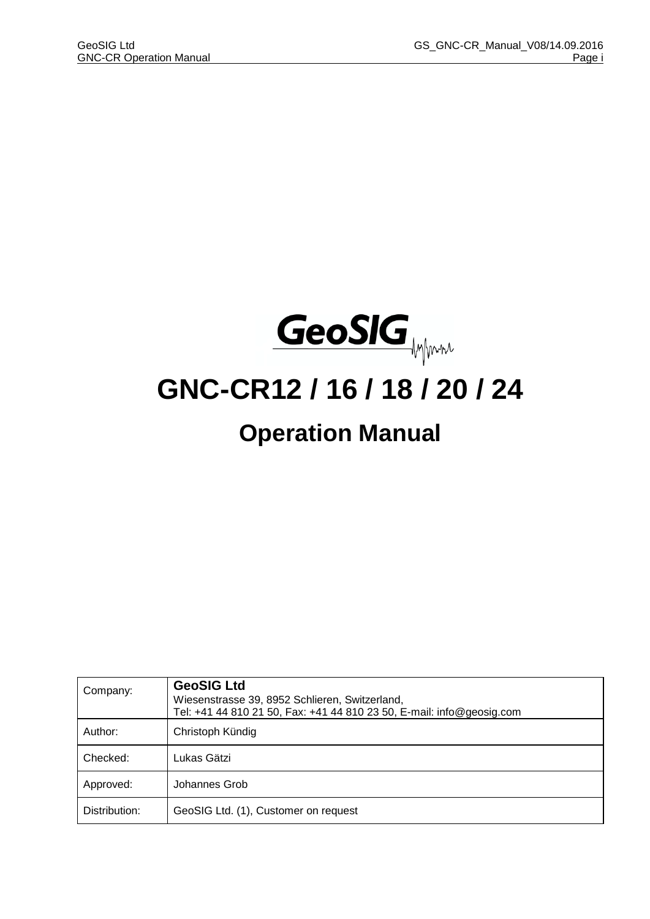

# **GNC-CR12 / 16 / 18 / 20 / 24**

# **Operation Manual**

| Company:      | <b>GeoSIG Ltd</b><br>Wiesenstrasse 39, 8952 Schlieren, Switzerland,<br>Tel: +41 44 810 21 50, Fax: +41 44 810 23 50, E-mail: info@geosig.com |
|---------------|----------------------------------------------------------------------------------------------------------------------------------------------|
| Author:       | Christoph Kündig                                                                                                                             |
| Checked:      | Lukas Gätzi                                                                                                                                  |
| Approved:     | Johannes Grob                                                                                                                                |
| Distribution: | GeoSIG Ltd. (1), Customer on request                                                                                                         |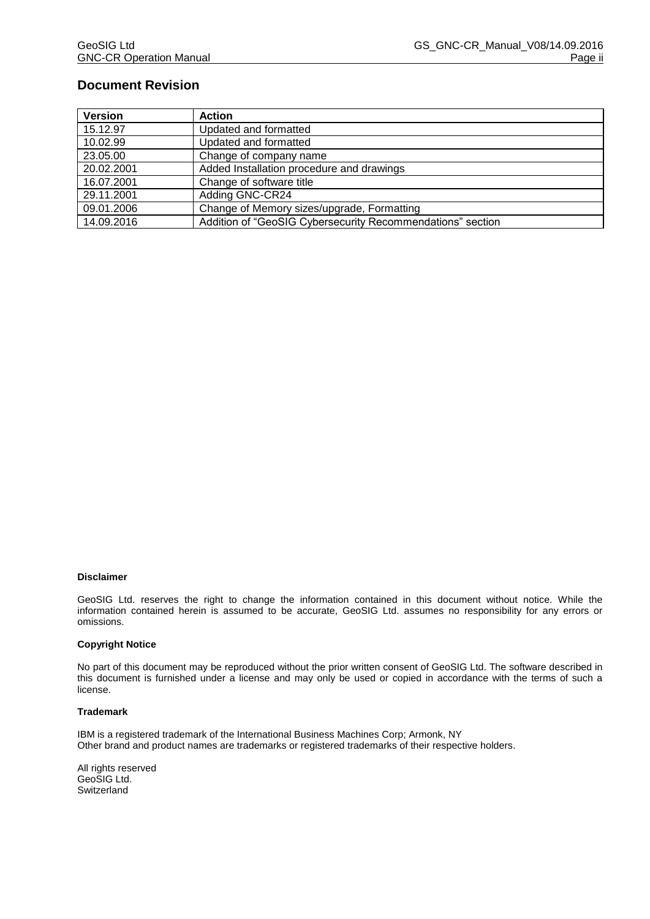### **Document Revision**

| <b>Version</b> | <b>Action</b>                                              |
|----------------|------------------------------------------------------------|
| 15.12.97       | Updated and formatted                                      |
| 10.02.99       | Updated and formatted                                      |
| 23.05.00       | Change of company name                                     |
| 20.02.2001     | Added Installation procedure and drawings                  |
| 16.07.2001     | Change of software title                                   |
| 29.11.2001     | Adding GNC-CR24                                            |
| 09.01.2006     | Change of Memory sizes/upgrade, Formatting                 |
| 14.09.2016     | Addition of "GeoSIG Cybersecurity Recommendations" section |

#### **Disclaimer**

GeoSIG Ltd. reserves the right to change the information contained in this document without notice. While the information contained herein is assumed to be accurate, GeoSIG Ltd. assumes no responsibility for any errors or omissions.

#### **Copyright Notice**

No part of this document may be reproduced without the prior written consent of GeoSIG Ltd. The software described in this document is furnished under a license and may only be used or copied in accordance with the terms of such a license.

#### **Trademark**

IBM is a registered trademark of the International Business Machines Corp; Armonk, NY Other brand and product names are trademarks or registered trademarks of their respective holders.

All rights reserved GeoSIG Ltd. Switzerland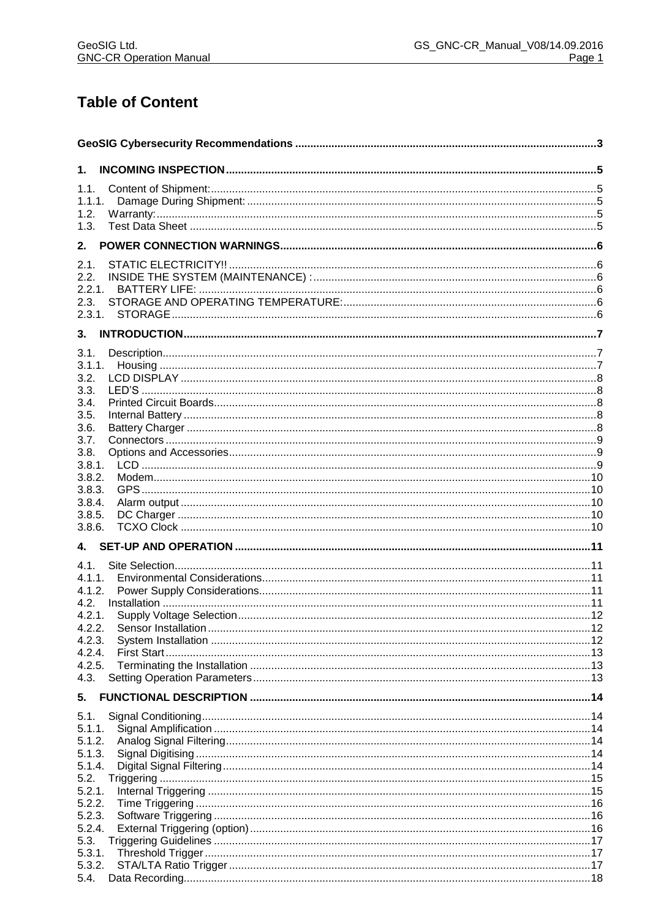# **Table of Content**

| 1.               |  |  |
|------------------|--|--|
| 1.1.             |  |  |
| 1.1.1.           |  |  |
| 1.2.             |  |  |
| 1.3.             |  |  |
| 2.               |  |  |
|                  |  |  |
| 2.1.             |  |  |
| 2.2.<br>2.2.1.   |  |  |
| 2.3.             |  |  |
| 2.3.1.           |  |  |
| 3.               |  |  |
| 3.1.             |  |  |
|                  |  |  |
| 3.2.             |  |  |
| 3.3.             |  |  |
| 3.4.             |  |  |
| 3.5.             |  |  |
| 3.6.             |  |  |
| 3.7.             |  |  |
| 3.8.             |  |  |
| 3.8.1.           |  |  |
| 3.8.2.<br>3.8.3. |  |  |
| 3.8.4.           |  |  |
| 3.8.5.           |  |  |
| 3.8.6.           |  |  |
| 4.               |  |  |
| 4.1.             |  |  |
| 4.1.1.           |  |  |
| 4.1.2.           |  |  |
| 4.2.             |  |  |
| 4.2.1.           |  |  |
| 4.2.2.           |  |  |
| 4.2.3.           |  |  |
| 4.2.4.           |  |  |
| 4.2.5.           |  |  |
| 4.3.<br>5.       |  |  |
| 5.1.             |  |  |
| 5.1.1.           |  |  |
| 5.1.2.           |  |  |
| 5.1.3.           |  |  |
| 5.1.4.           |  |  |
| 5.2.             |  |  |
| 5.2.1.           |  |  |
| 5.2.2.           |  |  |
| 5.2.3.           |  |  |
| 5.2.4.           |  |  |
| 5.3.             |  |  |
| 5.3.1.<br>5.3.2. |  |  |
| 5.4.             |  |  |
|                  |  |  |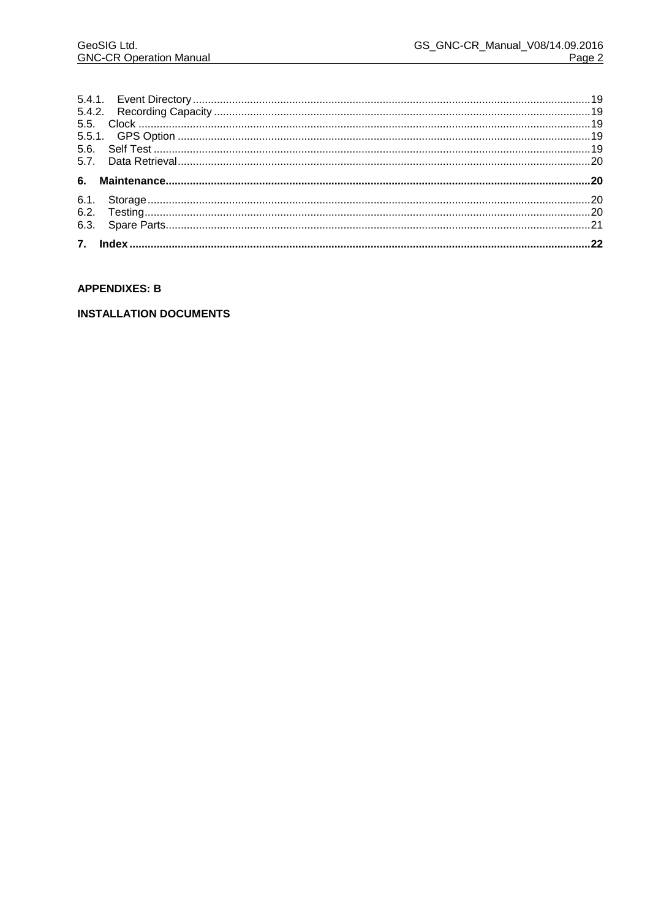#### **APPENDIXES: B**

#### **INSTALLATION DOCUMENTS**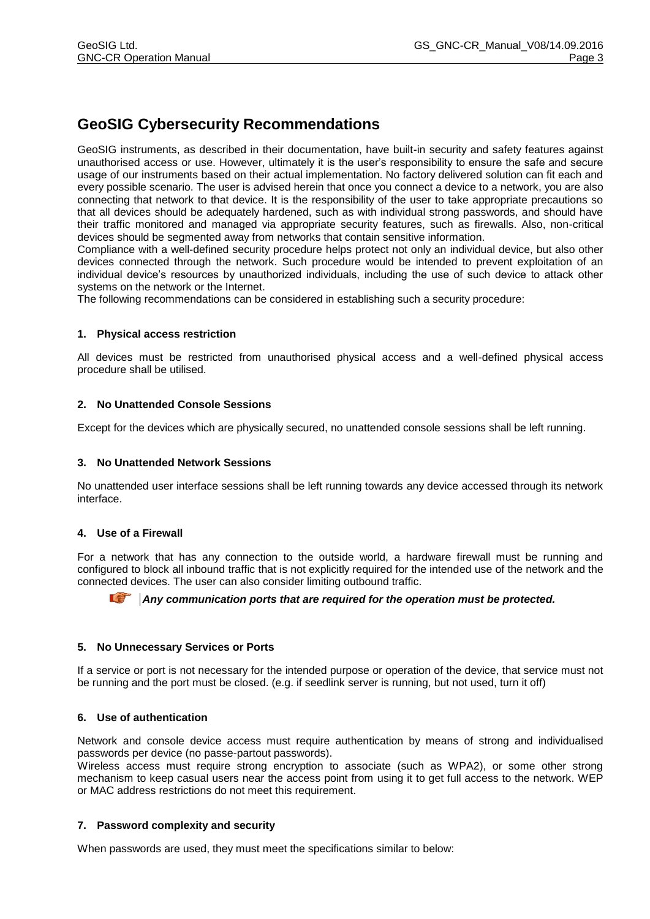# **GeoSIG Cybersecurity Recommendations**

GeoSIG instruments, as described in their documentation, have built-in security and safety features against unauthorised access or use. However, ultimately it is the user's responsibility to ensure the safe and secure usage of our instruments based on their actual implementation. No factory delivered solution can fit each and every possible scenario. The user is advised herein that once you connect a device to a network, you are also connecting that network to that device. It is the responsibility of the user to take appropriate precautions so that all devices should be adequately hardened, such as with individual strong passwords, and should have their traffic monitored and managed via appropriate security features, such as firewalls. Also, non-critical devices should be segmented away from networks that contain sensitive information.

Compliance with a well-defined security procedure helps protect not only an individual device, but also other devices connected through the network. Such procedure would be intended to prevent exploitation of an individual device's resources by unauthorized individuals, including the use of such device to attack other systems on the network or the Internet.

The following recommendations can be considered in establishing such a security procedure:

#### **1. Physical access restriction**

All devices must be restricted from unauthorised physical access and a well-defined physical access procedure shall be utilised.

#### **2. No Unattended Console Sessions**

Except for the devices which are physically secured, no unattended console sessions shall be left running.

#### **3. No Unattended Network Sessions**

No unattended user interface sessions shall be left running towards any device accessed through its network interface.

#### **4. Use of a Firewall**

For a network that has any connection to the outside world, a hardware firewall must be running and configured to block all inbound traffic that is not explicitly required for the intended use of the network and the connected devices. The user can also consider limiting outbound traffic.

#### *Any communication ports that are required for the operation must be protected.*

#### **5. No Unnecessary Services or Ports**

If a service or port is not necessary for the intended purpose or operation of the device, that service must not be running and the port must be closed. (e.g. if seedlink server is running, but not used, turn it off)

#### **6. Use of authentication**

Network and console device access must require authentication by means of strong and individualised passwords per device (no passe-partout passwords).

Wireless access must require strong encryption to associate (such as WPA2), or some other strong mechanism to keep casual users near the access point from using it to get full access to the network. WEP or MAC address restrictions do not meet this requirement.

#### **7. Password complexity and security**

When passwords are used, they must meet the specifications similar to below: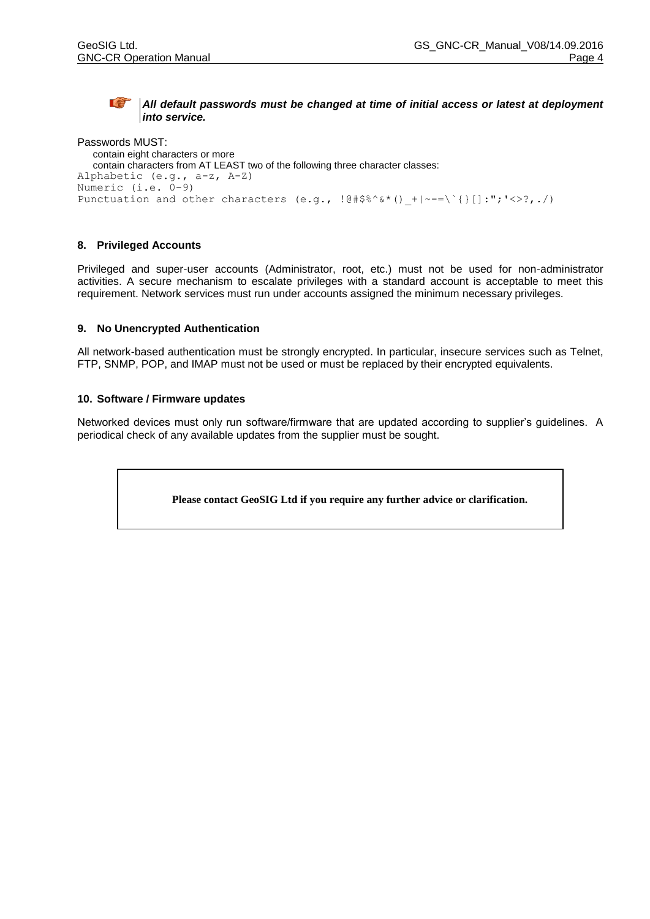#### **a** *All default passwords must be changed at time of initial access or latest at deployment into service.*

Passwords MUST: contain eight characters or more contain characters from AT LEAST two of the following three character classes: Alphabetic (e.g., a-z, A-Z) Numeric (i.e. 0-9) Punctuation and other characters (e.g.,  $\left[\frac{\theta + \beta^2}{\theta} \cdot \frac{\delta x}{\theta}\right] + \left[-\frac{\gamma}{\theta}\right]\left[\frac{\gamma}{\theta}\right]$ :";'<>?,./)

#### **8. Privileged Accounts**

Privileged and super-user accounts (Administrator, root, etc.) must not be used for non-administrator activities. A secure mechanism to escalate privileges with a standard account is acceptable to meet this requirement. Network services must run under accounts assigned the minimum necessary privileges.

#### **9. No Unencrypted Authentication**

All network-based authentication must be strongly encrypted. In particular, insecure services such as Telnet, FTP, SNMP, POP, and IMAP must not be used or must be replaced by their encrypted equivalents.

#### **10. Software / Firmware updates**

Networked devices must only run software/firmware that are updated according to supplier's guidelines. A periodical check of any available updates from the supplier must be sought.

**Please contact GeoSIG Ltd if you require any further advice or clarification.**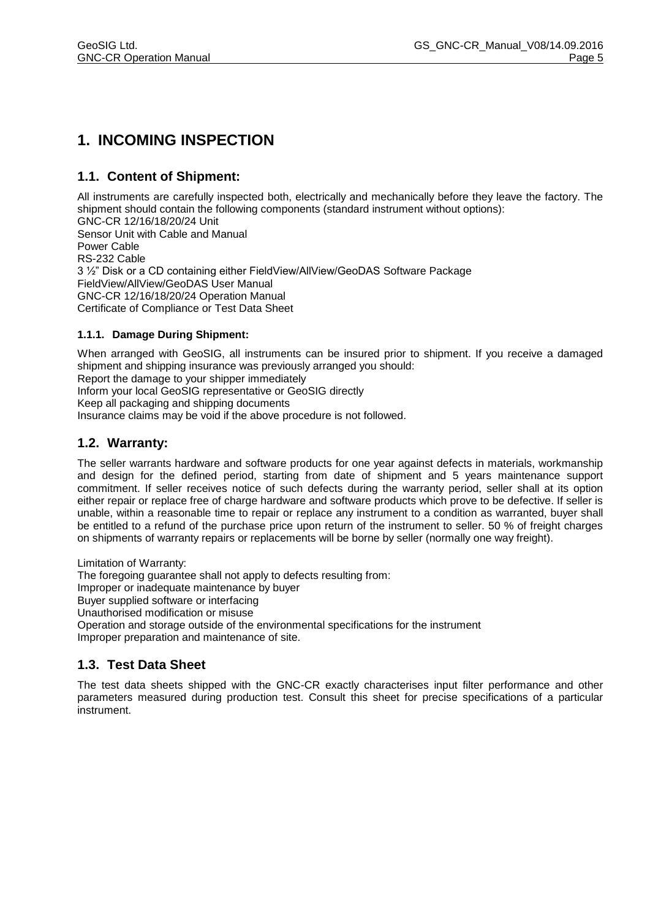# **1. INCOMING INSPECTION**

# **1.1. Content of Shipment:**

All instruments are carefully inspected both, electrically and mechanically before they leave the factory. The shipment should contain the following components (standard instrument without options): GNC-CR 12/16/18/20/24 Unit Sensor Unit with Cable and Manual Power Cable RS-232 Cable 3 ½" Disk or a CD containing either FieldView/AllView/GeoDAS Software Package FieldView/AllView/GeoDAS User Manual GNC-CR 12/16/18/20/24 Operation Manual

Certificate of Compliance or Test Data Sheet

#### **1.1.1. Damage During Shipment:**

When arranged with GeoSIG, all instruments can be insured prior to shipment. If you receive a damaged shipment and shipping insurance was previously arranged you should: Report the damage to your shipper immediately Inform your local GeoSIG representative or GeoSIG directly Keep all packaging and shipping documents

Insurance claims may be void if the above procedure is not followed.

## **1.2. Warranty:**

The seller warrants hardware and software products for one year against defects in materials, workmanship and design for the defined period, starting from date of shipment and 5 years maintenance support commitment. If seller receives notice of such defects during the warranty period, seller shall at its option either repair or replace free of charge hardware and software products which prove to be defective. If seller is unable, within a reasonable time to repair or replace any instrument to a condition as warranted, buyer shall be entitled to a refund of the purchase price upon return of the instrument to seller. 50 % of freight charges on shipments of warranty repairs or replacements will be borne by seller (normally one way freight).

Limitation of Warranty:

The foregoing guarantee shall not apply to defects resulting from:

Improper or inadequate maintenance by buyer

Buyer supplied software or interfacing

Unauthorised modification or misuse

Operation and storage outside of the environmental specifications for the instrument Improper preparation and maintenance of site.

## **1.3. Test Data Sheet**

The test data sheets shipped with the GNC-CR exactly characterises input filter performance and other parameters measured during production test. Consult this sheet for precise specifications of a particular instrument.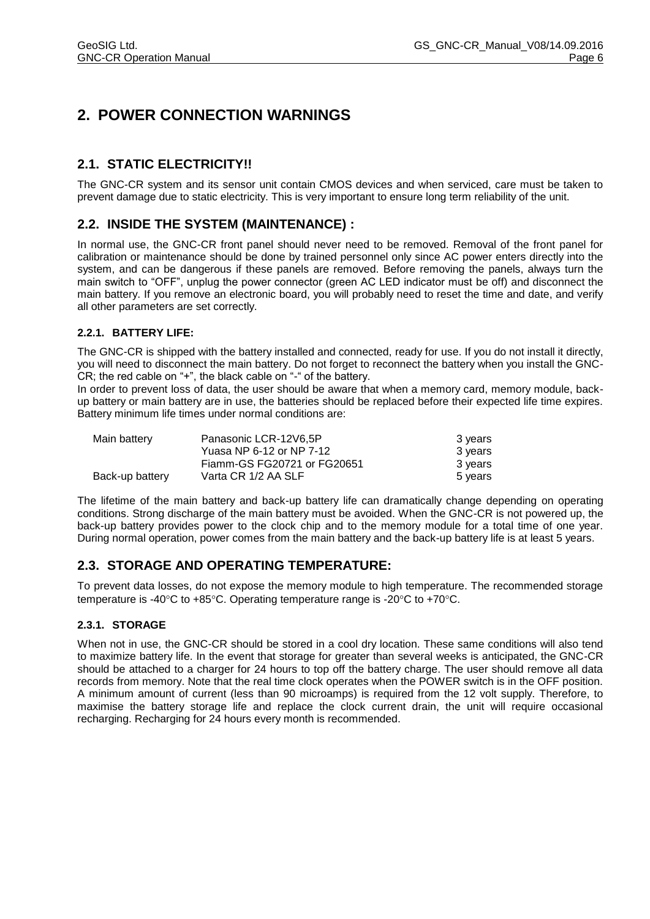# **2. POWER CONNECTION WARNINGS**

# **2.1. STATIC ELECTRICITY!!**

The GNC-CR system and its sensor unit contain CMOS devices and when serviced, care must be taken to prevent damage due to static electricity. This is very important to ensure long term reliability of the unit.

# **2.2. INSIDE THE SYSTEM (MAINTENANCE) :**

In normal use, the GNC-CR front panel should never need to be removed. Removal of the front panel for calibration or maintenance should be done by trained personnel only since AC power enters directly into the system, and can be dangerous if these panels are removed. Before removing the panels, always turn the main switch to "OFF", unplug the power connector (green AC LED indicator must be off) and disconnect the main battery. If you remove an electronic board, you will probably need to reset the time and date, and verify all other parameters are set correctly.

#### **2.2.1. BATTERY LIFE:**

The GNC-CR is shipped with the battery installed and connected, ready for use. If you do not install it directly, you will need to disconnect the main battery. Do not forget to reconnect the battery when you install the GNC-CR; the red cable on "+", the black cable on "-" of the battery.

In order to prevent loss of data, the user should be aware that when a memory card, memory module, backup battery or main battery are in use, the batteries should be replaced before their expected life time expires. Battery minimum life times under normal conditions are:

| Main battery    | Panasonic LCR-12V6.5P       | 3 years |
|-----------------|-----------------------------|---------|
|                 | Yuasa NP 6-12 or NP 7-12    | 3 years |
|                 | Fiamm-GS FG20721 or FG20651 | 3 years |
| Back-up battery | Varta CR 1/2 AA SLF         | 5 years |

The lifetime of the main battery and back-up battery life can dramatically change depending on operating conditions. Strong discharge of the main battery must be avoided. When the GNC-CR is not powered up, the back-up battery provides power to the clock chip and to the memory module for a total time of one year. During normal operation, power comes from the main battery and the back-up battery life is at least 5 years.

## **2.3. STORAGE AND OPERATING TEMPERATURE:**

To prevent data losses, do not expose the memory module to high temperature. The recommended storage temperature is -40 $^{\circ}$ C to +85 $^{\circ}$ C. Operating temperature range is -20 $^{\circ}$ C to +70 $^{\circ}$ C.

#### **2.3.1. STORAGE**

When not in use, the GNC-CR should be stored in a cool dry location. These same conditions will also tend to maximize battery life. In the event that storage for greater than several weeks is anticipated, the GNC-CR should be attached to a charger for 24 hours to top off the battery charge. The user should remove all data records from memory. Note that the real time clock operates when the POWER switch is in the OFF position. A minimum amount of current (less than 90 microamps) is required from the 12 volt supply. Therefore, to maximise the battery storage life and replace the clock current drain, the unit will require occasional recharging. Recharging for 24 hours every month is recommended.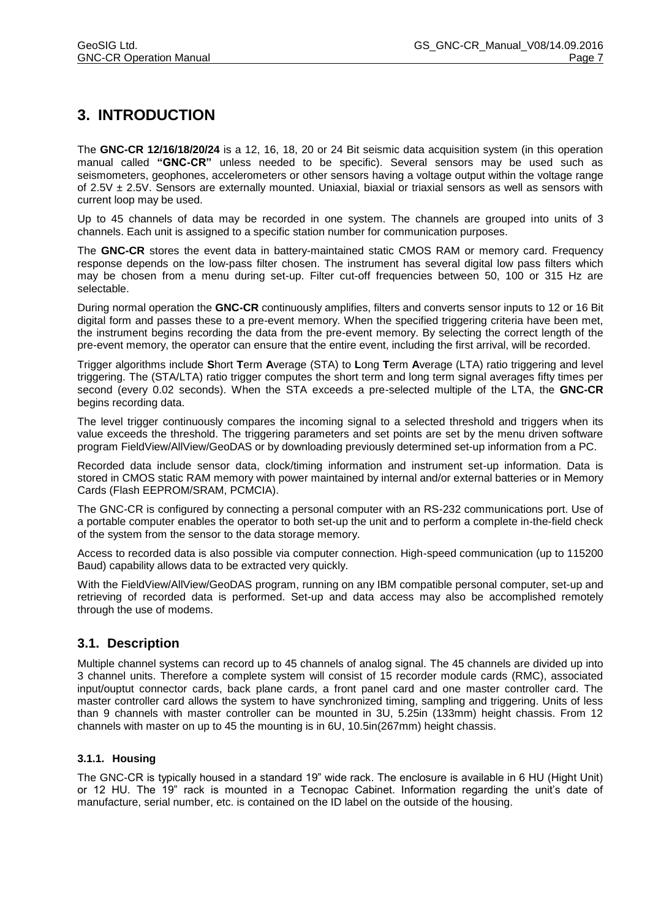# **3. INTRODUCTION**

The **GNC-CR 12/16/18/20/24** is a 12, 16, 18, 20 or 24 Bit seismic data acquisition system (in this operation manual called **"GNC-CR"** unless needed to be specific). Several sensors may be used such as seismometers, geophones, accelerometers or other sensors having a voltage output within the voltage range of 2.5V  $\pm$  2.5V. Sensors are externally mounted. Uniaxial, biaxial or triaxial sensors as well as sensors with current loop may be used.

Up to 45 channels of data may be recorded in one system. The channels are grouped into units of 3 channels. Each unit is assigned to a specific station number for communication purposes.

The **GNC-CR** stores the event data in battery-maintained static CMOS RAM or memory card. Frequency response depends on the low-pass filter chosen. The instrument has several digital low pass filters which may be chosen from a menu during set-up. Filter cut-off frequencies between 50, 100 or 315 Hz are selectable.

During normal operation the **GNC-CR** continuously amplifies, filters and converts sensor inputs to 12 or 16 Bit digital form and passes these to a pre-event memory. When the specified triggering criteria have been met, the instrument begins recording the data from the pre-event memory. By selecting the correct length of the pre-event memory, the operator can ensure that the entire event, including the first arrival, will be recorded.

Trigger algorithms include **S**hort **T**erm **A**verage (STA) to **L**ong **T**erm **A**verage (LTA) ratio triggering and level triggering. The (STA/LTA) ratio trigger computes the short term and long term signal averages fifty times per second (every 0.02 seconds). When the STA exceeds a pre-selected multiple of the LTA, the **GNC-CR** begins recording data.

The level trigger continuously compares the incoming signal to a selected threshold and triggers when its value exceeds the threshold. The triggering parameters and set points are set by the menu driven software program FieldView/AllView/GeoDAS or by downloading previously determined set-up information from a PC.

Recorded data include sensor data, clock/timing information and instrument set-up information. Data is stored in CMOS static RAM memory with power maintained by internal and/or external batteries or in Memory Cards (Flash EEPROM/SRAM, PCMCIA).

The GNC-CR is configured by connecting a personal computer with an RS-232 communications port. Use of a portable computer enables the operator to both set-up the unit and to perform a complete in-the-field check of the system from the sensor to the data storage memory.

Access to recorded data is also possible via computer connection. High-speed communication (up to 115200 Baud) capability allows data to be extracted very quickly.

With the FieldView/AllView/GeoDAS program, running on any IBM compatible personal computer, set-up and retrieving of recorded data is performed. Set-up and data access may also be accomplished remotely through the use of modems.

## **3.1. Description**

Multiple channel systems can record up to 45 channels of analog signal. The 45 channels are divided up into 3 channel units. Therefore a complete system will consist of 15 recorder module cards (RMC), associated input/ouptut connector cards, back plane cards, a front panel card and one master controller card. The master controller card allows the system to have synchronized timing, sampling and triggering. Units of less than 9 channels with master controller can be mounted in 3U, 5.25in (133mm) height chassis. From 12 channels with master on up to 45 the mounting is in 6U, 10.5in(267mm) height chassis.

#### **3.1.1. Housing**

The GNC-CR is typically housed in a standard 19" wide rack. The enclosure is available in 6 HU (Hight Unit) or 12 HU. The 19" rack is mounted in a Tecnopac Cabinet. Information regarding the unit's date of manufacture, serial number, etc. is contained on the ID label on the outside of the housing.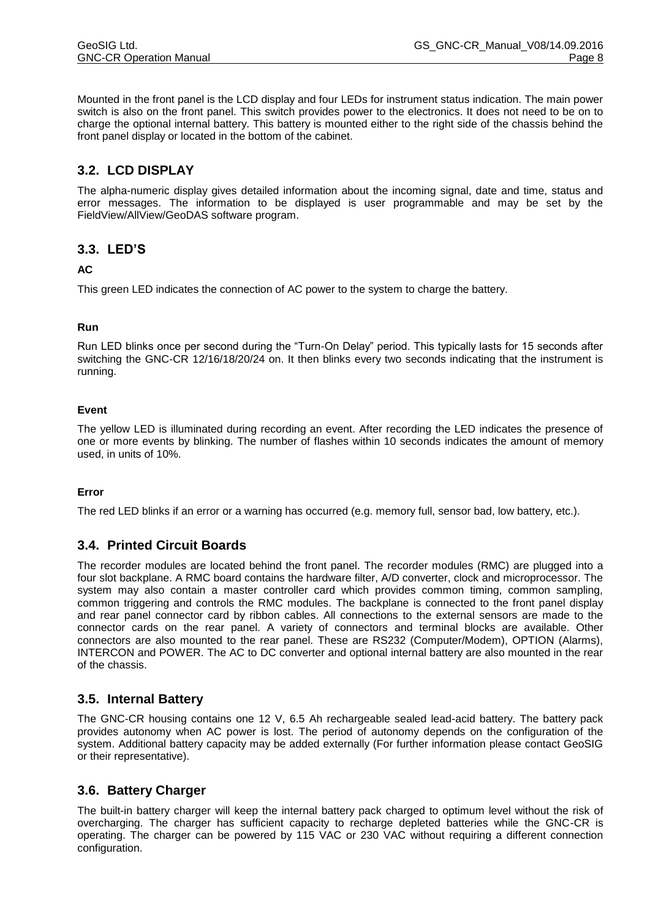Mounted in the front panel is the LCD display and four LEDs for instrument status indication. The main power switch is also on the front panel. This switch provides power to the electronics. It does not need to be on to charge the optional internal battery. This battery is mounted either to the right side of the chassis behind the front panel display or located in the bottom of the cabinet.

# **3.2. LCD DISPLAY**

The alpha-numeric display gives detailed information about the incoming signal, date and time, status and error messages. The information to be displayed is user programmable and may be set by the FieldView/AllView/GeoDAS software program.

## **3.3. LED'S**

#### **AC**

This green LED indicates the connection of AC power to the system to charge the battery.

#### **Run**

Run LED blinks once per second during the "Turn-On Delay" period. This typically lasts for 15 seconds after switching the GNC-CR 12/16/18/20/24 on. It then blinks every two seconds indicating that the instrument is running.

#### **Event**

The yellow LED is illuminated during recording an event. After recording the LED indicates the presence of one or more events by blinking. The number of flashes within 10 seconds indicates the amount of memory used, in units of 10%.

#### **Error**

The red LED blinks if an error or a warning has occurred (e.g. memory full, sensor bad, low battery, etc.).

## **3.4. Printed Circuit Boards**

The recorder modules are located behind the front panel. The recorder modules (RMC) are plugged into a four slot backplane. A RMC board contains the hardware filter, A/D converter, clock and microprocessor. The system may also contain a master controller card which provides common timing, common sampling, common triggering and controls the RMC modules. The backplane is connected to the front panel display and rear panel connector card by ribbon cables. All connections to the external sensors are made to the connector cards on the rear panel. A variety of connectors and terminal blocks are available. Other connectors are also mounted to the rear panel. These are RS232 (Computer/Modem), OPTION (Alarms), INTERCON and POWER. The AC to DC converter and optional internal battery are also mounted in the rear of the chassis.

#### **3.5. Internal Battery**

The GNC-CR housing contains one 12 V, 6.5 Ah rechargeable sealed lead-acid battery. The battery pack provides autonomy when AC power is lost. The period of autonomy depends on the configuration of the system. Additional battery capacity may be added externally (For further information please contact GeoSIG or their representative).

#### **3.6. Battery Charger**

The built-in battery charger will keep the internal battery pack charged to optimum level without the risk of overcharging. The charger has sufficient capacity to recharge depleted batteries while the GNC-CR is operating. The charger can be powered by 115 VAC or 230 VAC without requiring a different connection configuration.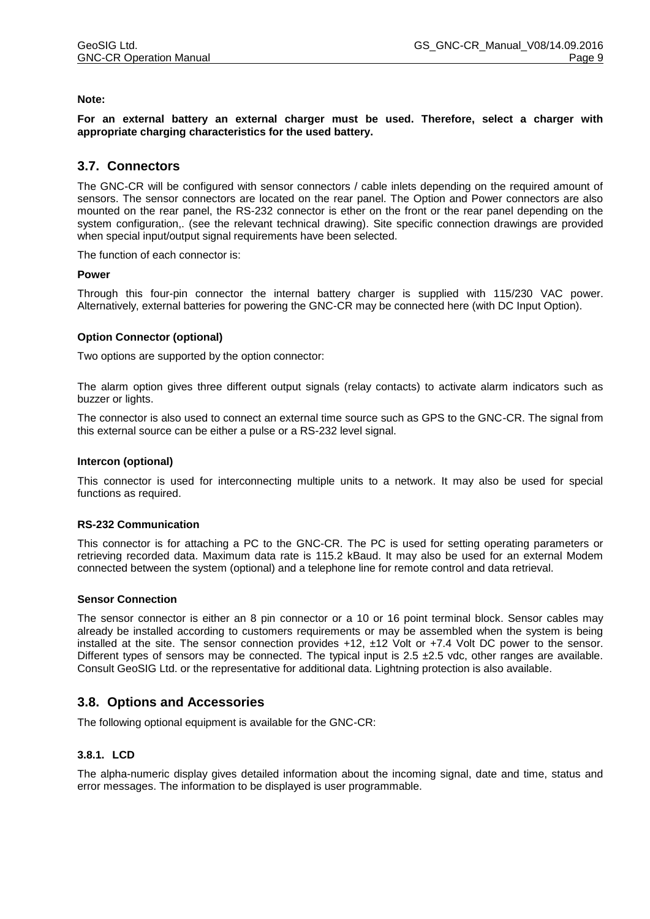#### **Note:**

**For an external battery an external charger must be used. Therefore, select a charger with appropriate charging characteristics for the used battery.**

#### **3.7. Connectors**

The GNC-CR will be configured with sensor connectors / cable inlets depending on the required amount of sensors. The sensor connectors are located on the rear panel. The Option and Power connectors are also mounted on the rear panel, the RS-232 connector is ether on the front or the rear panel depending on the system configuration,. (see the relevant technical drawing). Site specific connection drawings are provided when special input/output signal requirements have been selected.

The function of each connector is:

#### **Power**

Through this four-pin connector the internal battery charger is supplied with 115/230 VAC power. Alternatively, external batteries for powering the GNC-CR may be connected here (with DC Input Option).

#### **Option Connector (optional)**

Two options are supported by the option connector:

The alarm option gives three different output signals (relay contacts) to activate alarm indicators such as buzzer or lights.

The connector is also used to connect an external time source such as GPS to the GNC-CR. The signal from this external source can be either a pulse or a RS-232 level signal.

#### **Intercon (optional)**

This connector is used for interconnecting multiple units to a network. It may also be used for special functions as required.

#### **RS-232 Communication**

This connector is for attaching a PC to the GNC-CR. The PC is used for setting operating parameters or retrieving recorded data. Maximum data rate is 115.2 kBaud. It may also be used for an external Modem connected between the system (optional) and a telephone line for remote control and data retrieval.

#### **Sensor Connection**

The sensor connector is either an 8 pin connector or a 10 or 16 point terminal block. Sensor cables may already be installed according to customers requirements or may be assembled when the system is being installed at the site. The sensor connection provides +12, ±12 Volt or +7.4 Volt DC power to the sensor. Different types of sensors may be connected. The typical input is  $2.5 \pm 2.5$  vdc, other ranges are available. Consult GeoSIG Ltd. or the representative for additional data. Lightning protection is also available.

#### **3.8. Options and Accessories**

The following optional equipment is available for the GNC-CR:

#### **3.8.1. LCD**

The alpha-numeric display gives detailed information about the incoming signal, date and time, status and error messages. The information to be displayed is user programmable.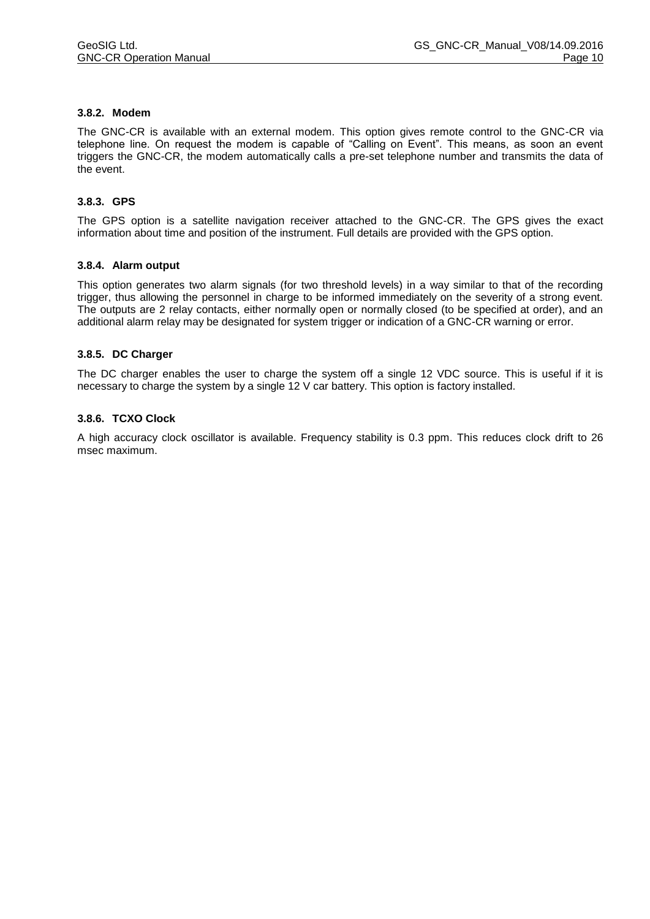#### **3.8.2. Modem**

The GNC-CR is available with an external modem. This option gives remote control to the GNC-CR via telephone line. On request the modem is capable of "Calling on Event". This means, as soon an event triggers the GNC-CR, the modem automatically calls a pre-set telephone number and transmits the data of the event.

#### **3.8.3. GPS**

The GPS option is a satellite navigation receiver attached to the GNC-CR. The GPS gives the exact information about time and position of the instrument. Full details are provided with the GPS option.

#### **3.8.4. Alarm output**

This option generates two alarm signals (for two threshold levels) in a way similar to that of the recording trigger, thus allowing the personnel in charge to be informed immediately on the severity of a strong event. The outputs are 2 relay contacts, either normally open or normally closed (to be specified at order), and an additional alarm relay may be designated for system trigger or indication of a GNC-CR warning or error.

#### **3.8.5. DC Charger**

The DC charger enables the user to charge the system off a single 12 VDC source. This is useful if it is necessary to charge the system by a single 12 V car battery. This option is factory installed.

#### **3.8.6. TCXO Clock**

A high accuracy clock oscillator is available. Frequency stability is 0.3 ppm. This reduces clock drift to 26 msec maximum.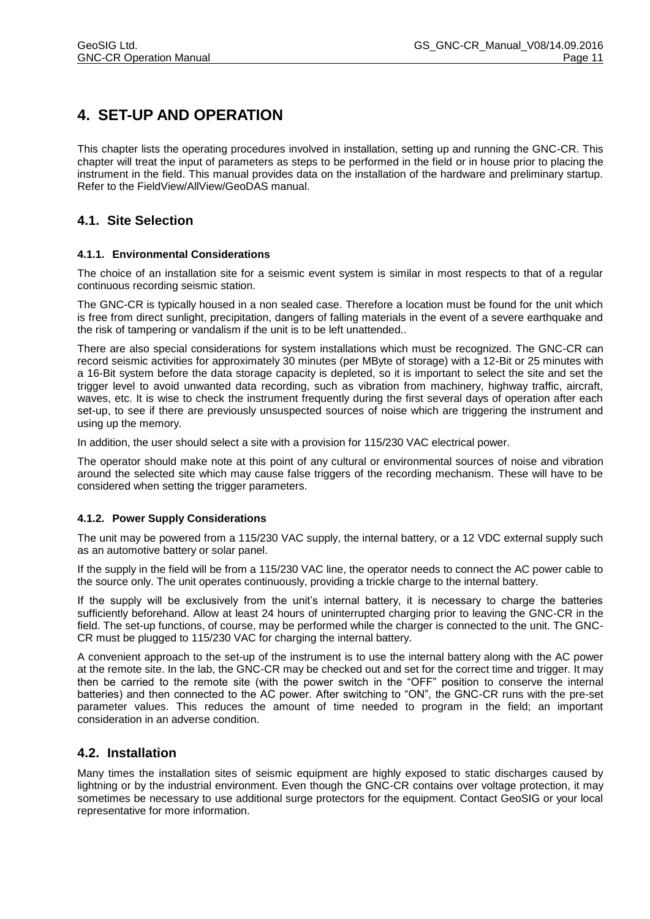# **4. SET-UP AND OPERATION**

This chapter lists the operating procedures involved in installation, setting up and running the GNC-CR. This chapter will treat the input of parameters as steps to be performed in the field or in house prior to placing the instrument in the field. This manual provides data on the installation of the hardware and preliminary startup. Refer to the FieldView/AllView/GeoDAS manual.

# **4.1. Site Selection**

#### **4.1.1. Environmental Considerations**

The choice of an installation site for a seismic event system is similar in most respects to that of a regular continuous recording seismic station.

The GNC-CR is typically housed in a non sealed case. Therefore a location must be found for the unit which is free from direct sunlight, precipitation, dangers of falling materials in the event of a severe earthquake and the risk of tampering or vandalism if the unit is to be left unattended..

There are also special considerations for system installations which must be recognized. The GNC-CR can record seismic activities for approximately 30 minutes (per MByte of storage) with a 12-Bit or 25 minutes with a 16-Bit system before the data storage capacity is depleted, so it is important to select the site and set the trigger level to avoid unwanted data recording, such as vibration from machinery, highway traffic, aircraft, waves, etc. It is wise to check the instrument frequently during the first several days of operation after each set-up, to see if there are previously unsuspected sources of noise which are triggering the instrument and using up the memory.

In addition, the user should select a site with a provision for 115/230 VAC electrical power.

The operator should make note at this point of any cultural or environmental sources of noise and vibration around the selected site which may cause false triggers of the recording mechanism. These will have to be considered when setting the trigger parameters.

#### **4.1.2. Power Supply Considerations**

The unit may be powered from a 115/230 VAC supply, the internal battery, or a 12 VDC external supply such as an automotive battery or solar panel.

If the supply in the field will be from a 115/230 VAC line, the operator needs to connect the AC power cable to the source only. The unit operates continuously, providing a trickle charge to the internal battery.

If the supply will be exclusively from the unit's internal battery, it is necessary to charge the batteries sufficiently beforehand. Allow at least 24 hours of uninterrupted charging prior to leaving the GNC-CR in the field. The set-up functions, of course, may be performed while the charger is connected to the unit. The GNC-CR must be plugged to 115/230 VAC for charging the internal battery.

A convenient approach to the set-up of the instrument is to use the internal battery along with the AC power at the remote site. In the lab, the GNC-CR may be checked out and set for the correct time and trigger. It may then be carried to the remote site (with the power switch in the "OFF" position to conserve the internal batteries) and then connected to the AC power. After switching to "ON", the GNC-CR runs with the pre-set parameter values. This reduces the amount of time needed to program in the field; an important consideration in an adverse condition.

## **4.2. Installation**

Many times the installation sites of seismic equipment are highly exposed to static discharges caused by lightning or by the industrial environment. Even though the GNC-CR contains over voltage protection, it may sometimes be necessary to use additional surge protectors for the equipment. Contact GeoSIG or your local representative for more information.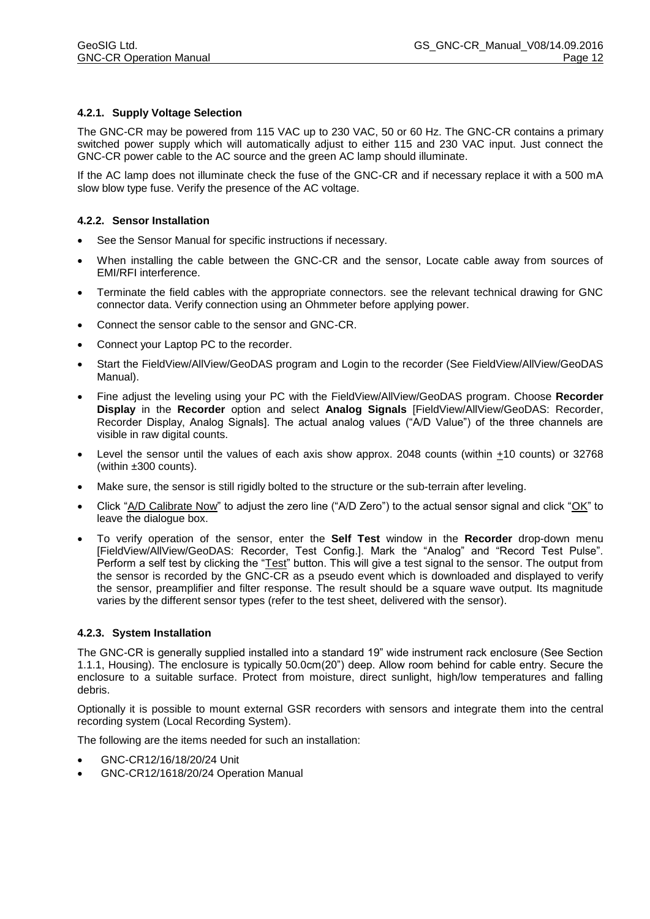#### **4.2.1. Supply Voltage Selection**

The GNC-CR may be powered from 115 VAC up to 230 VAC, 50 or 60 Hz. The GNC-CR contains a primary switched power supply which will automatically adjust to either 115 and 230 VAC input. Just connect the GNC-CR power cable to the AC source and the green AC lamp should illuminate.

If the AC lamp does not illuminate check the fuse of the GNC-CR and if necessary replace it with a 500 mA slow blow type fuse. Verify the presence of the AC voltage.

#### **4.2.2. Sensor Installation**

- See the Sensor Manual for specific instructions if necessary.
- When installing the cable between the GNC-CR and the sensor, Locate cable away from sources of EMI/RFI interference.
- Terminate the field cables with the appropriate connectors. see the relevant technical drawing for GNC connector data. Verify connection using an Ohmmeter before applying power.
- Connect the sensor cable to the sensor and GNC-CR.
- Connect your Laptop PC to the recorder.
- Start the FieldView/AllView/GeoDAS program and Login to the recorder (See FieldView/AllView/GeoDAS Manual).
- Fine adjust the leveling using your PC with the FieldView/AllView/GeoDAS program. Choose **Recorder Display** in the **Recorder** option and select **Analog Signals** [FieldView/AllView/GeoDAS: Recorder, Recorder Display, Analog Signals]. The actual analog values ("A/D Value") of the three channels are visible in raw digital counts.
- Level the sensor until the values of each axis show approx. 2048 counts (within  $\pm$ 10 counts) or 32768 (within ±300 counts).
- Make sure, the sensor is still rigidly bolted to the structure or the sub-terrain after leveling.
- Click "A/D Calibrate Now" to adjust the zero line ("A/D Zero") to the actual sensor signal and click "OK" to leave the dialogue box.
- To verify operation of the sensor, enter the **Self Test** window in the **Recorder** drop-down menu [FieldView/AllView/GeoDAS: Recorder, Test Config.]. Mark the "Analog" and "Record Test Pulse". Perform a self test by clicking the "<u>Test</u>" button. This will give a test signal to the sensor. The output from the sensor is recorded by the GNC-CR as a pseudo event which is downloaded and displayed to verify the sensor, preamplifier and filter response. The result should be a square wave output. Its magnitude varies by the different sensor types (refer to the test sheet, delivered with the sensor).

#### **4.2.3. System Installation**

The GNC-CR is generally supplied installed into a standard 19" wide instrument rack enclosure (See Section 1.1.1, Housing). The enclosure is typically 50.0cm(20") deep. Allow room behind for cable entry. Secure the enclosure to a suitable surface. Protect from moisture, direct sunlight, high/low temperatures and falling debris.

Optionally it is possible to mount external GSR recorders with sensors and integrate them into the central recording system (Local Recording System).

The following are the items needed for such an installation:

- GNC-CR12/16/18/20/24 Unit
- GNC-CR12/1618/20/24 Operation Manual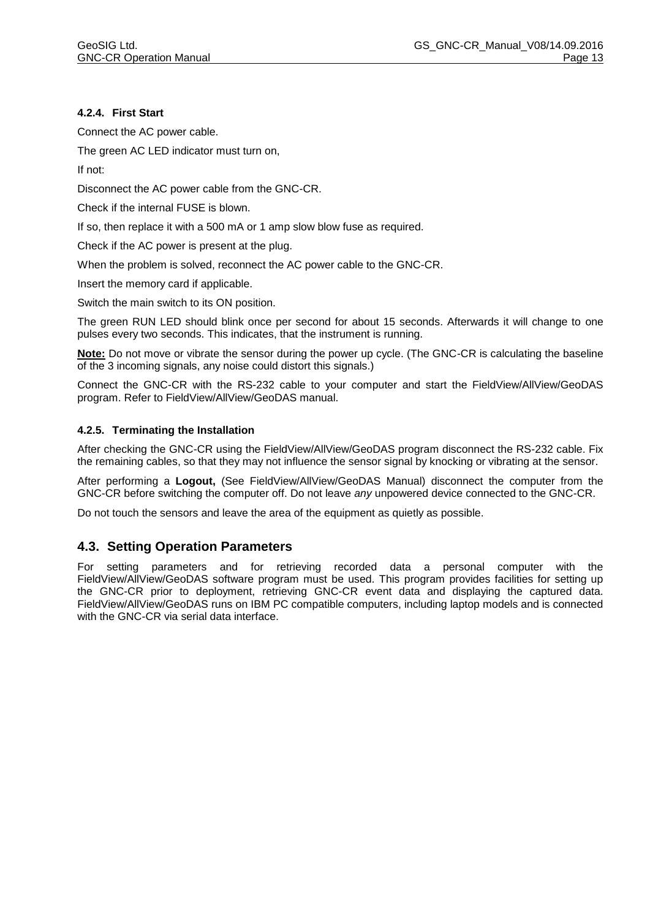#### **4.2.4. First Start**

Connect the AC power cable.

The green AC LED indicator must turn on,

If not:

Disconnect the AC power cable from the GNC-CR.

Check if the internal FUSE is blown.

If so, then replace it with a 500 mA or 1 amp slow blow fuse as required.

Check if the AC power is present at the plug.

When the problem is solved, reconnect the AC power cable to the GNC-CR.

Insert the memory card if applicable.

Switch the main switch to its ON position.

The green RUN LED should blink once per second for about 15 seconds. Afterwards it will change to one pulses every two seconds. This indicates, that the instrument is running.

**Note:** Do not move or vibrate the sensor during the power up cycle. (The GNC-CR is calculating the baseline of the 3 incoming signals, any noise could distort this signals.)

Connect the GNC-CR with the RS-232 cable to your computer and start the FieldView/AllView/GeoDAS program. Refer to FieldView/AllView/GeoDAS manual.

#### **4.2.5. Terminating the Installation**

After checking the GNC-CR using the FieldView/AllView/GeoDAS program disconnect the RS-232 cable. Fix the remaining cables, so that they may not influence the sensor signal by knocking or vibrating at the sensor.

After performing a **Logout,** (See FieldView/AllView/GeoDAS Manual) disconnect the computer from the GNC-CR before switching the computer off. Do not leave *any* unpowered device connected to the GNC-CR.

Do not touch the sensors and leave the area of the equipment as quietly as possible.

#### **4.3. Setting Operation Parameters**

For setting parameters and for retrieving recorded data a personal computer with the FieldView/AllView/GeoDAS software program must be used. This program provides facilities for setting up the GNC-CR prior to deployment, retrieving GNC-CR event data and displaying the captured data. FieldView/AllView/GeoDAS runs on IBM PC compatible computers, including laptop models and is connected with the GNC-CR via serial data interface.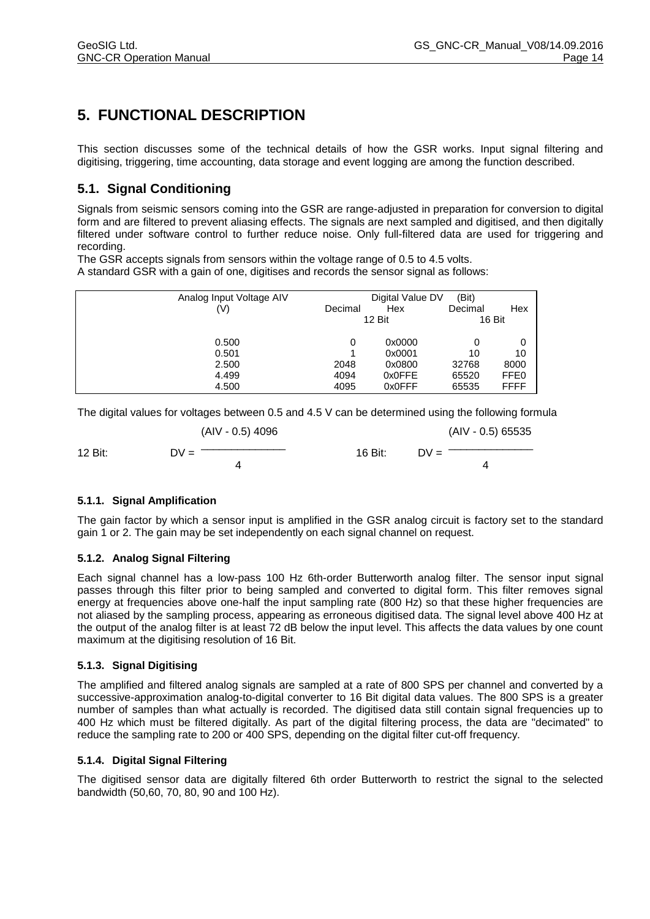# **5. FUNCTIONAL DESCRIPTION**

This section discusses some of the technical details of how the GSR works. Input signal filtering and digitising, triggering, time accounting, data storage and event logging are among the function described.

# **5.1. Signal Conditioning**

Signals from seismic sensors coming into the GSR are range-adjusted in preparation for conversion to digital form and are filtered to prevent aliasing effects. The signals are next sampled and digitised, and then digitally filtered under software control to further reduce noise. Only full-filtered data are used for triggering and recording.

The GSR accepts signals from sensors within the voltage range of 0.5 to 4.5 volts. A standard GSR with a gain of one, digitises and records the sensor signal as follows:

| Analog Input Voltage AIV |         | Digital Value DV | (Bit)   |        |
|--------------------------|---------|------------------|---------|--------|
| (V)                      | Decimal | Hex              | Decimal | Hex    |
|                          |         | <b>12 Bit</b>    |         | 16 Bit |
| 0.500                    |         | 0x0000           |         | 0      |
| 0.501                    |         | 0x0001           | 10      | 10     |
| 2.500                    | 2048    | 0x0800           | 32768   | 8000   |
| 4.499                    | 4094    | 0x0FFE           | 65520   | FFE0   |
| 4.500                    | 4095    | 0x0FFF           | 65535   | FFFF   |

The digital values for voltages between 0.5 and 4.5 V can be determined using the following formula

|         | (AIV - 0.5) 4096 |         | (AIV - 0.5) 65535 |
|---------|------------------|---------|-------------------|
| 12 Bit: | DV =             | 16 Bit: | $DV =$            |
|         |                  |         |                   |

#### **5.1.1. Signal Amplification**

The gain factor by which a sensor input is amplified in the GSR analog circuit is factory set to the standard gain 1 or 2. The gain may be set independently on each signal channel on request.

#### **5.1.2. Analog Signal Filtering**

Each signal channel has a low-pass 100 Hz 6th-order Butterworth analog filter. The sensor input signal passes through this filter prior to being sampled and converted to digital form. This filter removes signal energy at frequencies above one-half the input sampling rate (800 Hz) so that these higher frequencies are not aliased by the sampling process, appearing as erroneous digitised data. The signal level above 400 Hz at the output of the analog filter is at least 72 dB below the input level. This affects the data values by one count maximum at the digitising resolution of 16 Bit.

#### **5.1.3. Signal Digitising**

The amplified and filtered analog signals are sampled at a rate of 800 SPS per channel and converted by a successive-approximation analog-to-digital converter to 16 Bit digital data values. The 800 SPS is a greater number of samples than what actually is recorded. The digitised data still contain signal frequencies up to 400 Hz which must be filtered digitally. As part of the digital filtering process, the data are "decimated" to reduce the sampling rate to 200 or 400 SPS, depending on the digital filter cut-off frequency.

#### **5.1.4. Digital Signal Filtering**

The digitised sensor data are digitally filtered 6th order Butterworth to restrict the signal to the selected bandwidth (50,60, 70, 80, 90 and 100 Hz).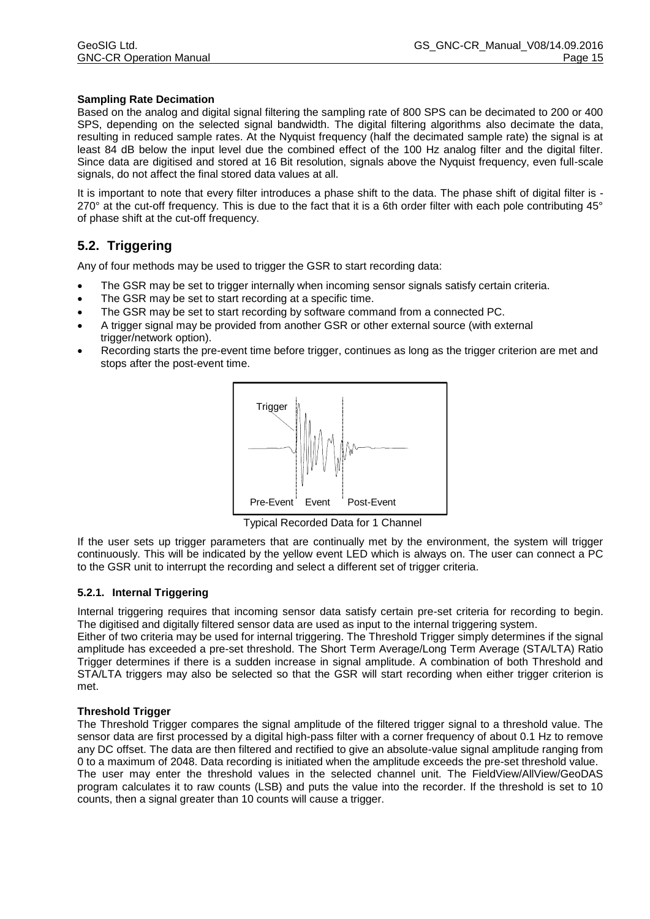#### **Sampling Rate Decimation**

Based on the analog and digital signal filtering the sampling rate of 800 SPS can be decimated to 200 or 400 SPS, depending on the selected signal bandwidth. The digital filtering algorithms also decimate the data, resulting in reduced sample rates. At the Nyquist frequency (half the decimated sample rate) the signal is at least 84 dB below the input level due the combined effect of the 100 Hz analog filter and the digital filter. Since data are digitised and stored at 16 Bit resolution, signals above the Nyquist frequency, even full-scale signals, do not affect the final stored data values at all.

It is important to note that every filter introduces a phase shift to the data. The phase shift of digital filter is - 270° at the cut-off frequency. This is due to the fact that it is a 6th order filter with each pole contributing 45° of phase shift at the cut-off frequency.

## **5.2. Triggering**

Any of four methods may be used to trigger the GSR to start recording data:

- The GSR may be set to trigger internally when incoming sensor signals satisfy certain criteria.
- The GSR may be set to start recording at a specific time.
- The GSR may be set to start recording by software command from a connected PC.
- A trigger signal may be provided from another GSR or other external source (with external trigger/network option).
- Recording starts the pre-event time before trigger, continues as long as the trigger criterion are met and stops after the post-event time.



**Typical Recorded Data for 1 Channel** 

If the user sets up trigger parameters that are continually met by the environment, the system will trigger continuously. This will be indicated by the yellow event LED which is always on. The user can connect a PC to the GSR unit to interrupt the recording and select a different set of trigger criteria.

#### **5.2.1. Internal Triggering**

Internal triggering requires that incoming sensor data satisfy certain pre-set criteria for recording to begin. The digitised and digitally filtered sensor data are used as input to the internal triggering system.

Either of two criteria may be used for internal triggering. The Threshold Trigger simply determines if the signal amplitude has exceeded a pre-set threshold. The Short Term Average/Long Term Average (STA/LTA) Ratio Trigger determines if there is a sudden increase in signal amplitude. A combination of both Threshold and STA/LTA triggers may also be selected so that the GSR will start recording when either trigger criterion is met.

#### **Threshold Trigger**

The Threshold Trigger compares the signal amplitude of the filtered trigger signal to a threshold value. The sensor data are first processed by a digital high-pass filter with a corner frequency of about 0.1 Hz to remove any DC offset. The data are then filtered and rectified to give an absolute-value signal amplitude ranging from 0 to a maximum of 2048. Data recording is initiated when the amplitude exceeds the pre-set threshold value. The user may enter the threshold values in the selected channel unit. The FieldView/AllView/GeoDAS program calculates it to raw counts (LSB) and puts the value into the recorder. If the threshold is set to 10 counts, then a signal greater than 10 counts will cause a trigger.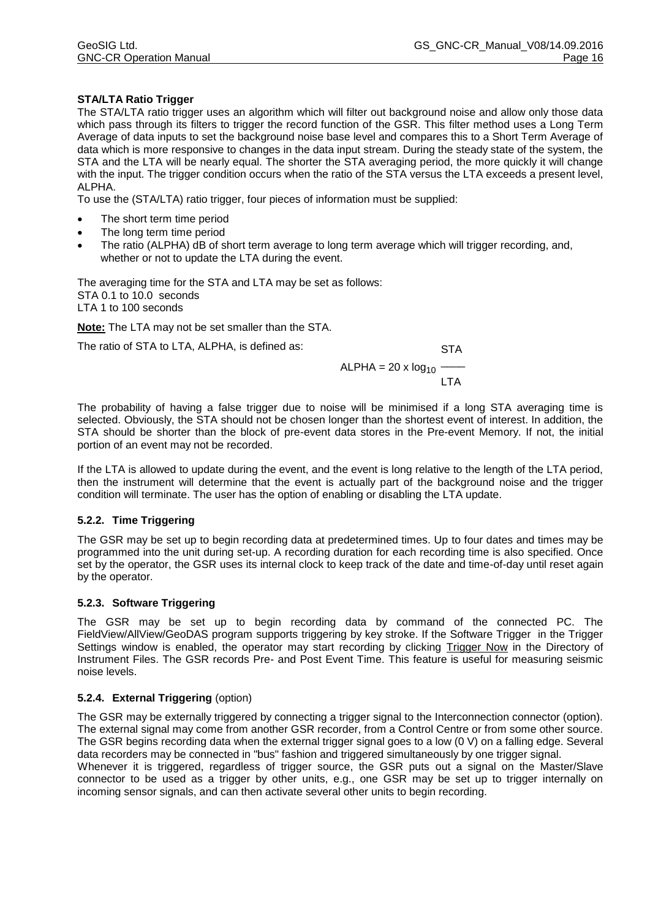#### **STA/LTA Ratio Trigger**

The STA/LTA ratio trigger uses an algorithm which will filter out background noise and allow only those data which pass through its filters to trigger the record function of the GSR. This filter method uses a Long Term Average of data inputs to set the background noise base level and compares this to a Short Term Average of data which is more responsive to changes in the data input stream. During the steady state of the system, the STA and the LTA will be nearly equal. The shorter the STA averaging period, the more quickly it will change with the input. The trigger condition occurs when the ratio of the STA versus the LTA exceeds a present level, ALPHA.

To use the (STA/LTA) ratio trigger, four pieces of information must be supplied:

- The short term time period
- The long term time period
- The ratio (ALPHA) dB of short term average to long term average which will trigger recording, and, whether or not to update the LTA during the event.

The averaging time for the STA and LTA may be set as follows: STA 0.1 to 10.0 seconds LTA 1 to 100 seconds

**Note:** The LTA may not be set smaller than the STA.

The ratio of STA to LTA, ALPHA, is defined as: STA

 $ALPHA = 20 \times log_{10}$  —— I TA

The probability of having a false trigger due to noise will be minimised if a long STA averaging time is selected. Obviously, the STA should not be chosen longer than the shortest event of interest. In addition, the STA should be shorter than the block of pre-event data stores in the Pre-event Memory. If not, the initial portion of an event may not be recorded.

If the LTA is allowed to update during the event, and the event is long relative to the length of the LTA period, then the instrument will determine that the event is actually part of the background noise and the trigger condition will terminate. The user has the option of enabling or disabling the LTA update.

#### **5.2.2. Time Triggering**

The GSR may be set up to begin recording data at predetermined times. Up to four dates and times may be programmed into the unit during set-up. A recording duration for each recording time is also specified. Once set by the operator, the GSR uses its internal clock to keep track of the date and time-of-day until reset again by the operator.

#### **5.2.3. Software Triggering**

The GSR may be set up to begin recording data by command of the connected PC. The FieldView/AllView/GeoDAS program supports triggering by key stroke. If the Software Trigger in the Trigger Settings window is enabled, the operator may start recording by clicking Trigger Now in the Directory of Instrument Files. The GSR records Pre- and Post Event Time. This feature is useful for measuring seismic noise levels.

#### **5.2.4. External Triggering** (option)

The GSR may be externally triggered by connecting a trigger signal to the Interconnection connector (option). The external signal may come from another GSR recorder, from a Control Centre or from some other source. The GSR begins recording data when the external trigger signal goes to a low (0 V) on a falling edge. Several data recorders may be connected in "bus" fashion and triggered simultaneously by one trigger signal. Whenever it is triggered, regardless of trigger source, the GSR puts out a signal on the Master/Slave connector to be used as a trigger by other units, e.g., one GSR may be set up to trigger internally on incoming sensor signals, and can then activate several other units to begin recording.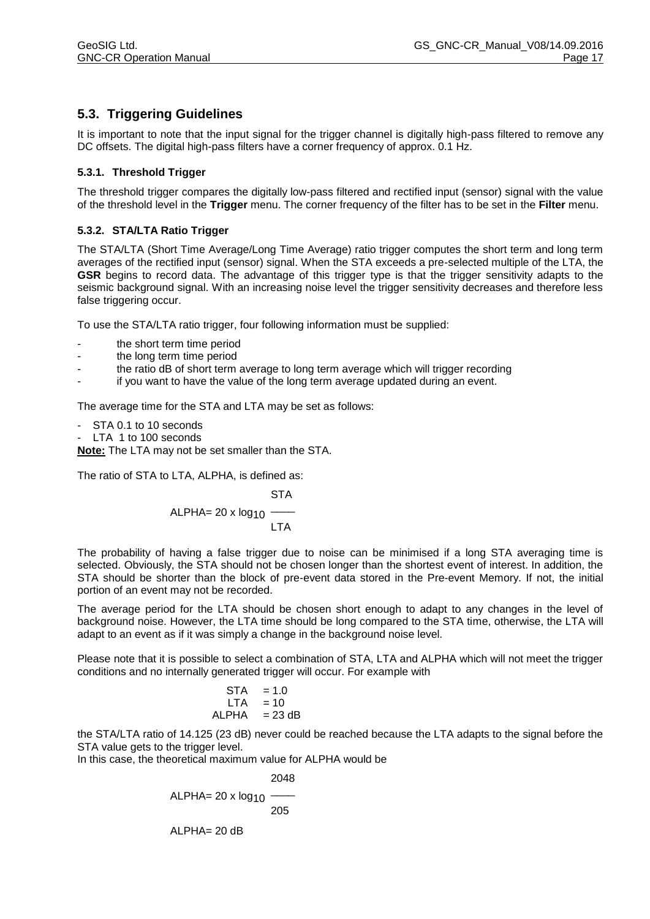# **5.3. Triggering Guidelines**

It is important to note that the input signal for the trigger channel is digitally high-pass filtered to remove any DC offsets. The digital high-pass filters have a corner frequency of approx. 0.1 Hz.

#### **5.3.1. Threshold Trigger**

The threshold trigger compares the digitally low-pass filtered and rectified input (sensor) signal with the value of the threshold level in the **Trigger** menu. The corner frequency of the filter has to be set in the **Filter** menu.

#### **5.3.2. STA/LTA Ratio Trigger**

The STA/LTA (Short Time Average/Long Time Average) ratio trigger computes the short term and long term averages of the rectified input (sensor) signal. When the STA exceeds a pre-selected multiple of the LTA, the **GSR** begins to record data. The advantage of this trigger type is that the trigger sensitivity adapts to the seismic background signal. With an increasing noise level the trigger sensitivity decreases and therefore less false triggering occur.

To use the STA/LTA ratio trigger, four following information must be supplied:

- the short term time period
- the long term time period
- the ratio dB of short term average to long term average which will trigger recording
- if you want to have the value of the long term average updated during an event.

The average time for the STA and LTA may be set as follows:

- STA 0.1 to 10 seconds
- LTA 1 to 100 seconds

**Note:** The LTA may not be set smaller than the STA.

The ratio of STA to LTA, ALPHA, is defined as:

$$
STA
$$
ALPHA= 20 x log<sub>10</sub>  $\frac{1}{LTA}$ 

The probability of having a false trigger due to noise can be minimised if a long STA averaging time is selected. Obviously, the STA should not be chosen longer than the shortest event of interest. In addition, the STA should be shorter than the block of pre-event data stored in the Pre-event Memory. If not, the initial portion of an event may not be recorded.

The average period for the LTA should be chosen short enough to adapt to any changes in the level of background noise. However, the LTA time should be long compared to the STA time, otherwise, the LTA will adapt to an event as if it was simply a change in the background noise level.

Please note that it is possible to select a combination of STA, LTA and ALPHA which will not meet the trigger conditions and no internally generated trigger will occur. For example with

$$
STA = 1.0
$$
  
LTA = 10  
ALPHA = 23 dB

the STA/LTA ratio of 14.125 (23 dB) never could be reached because the LTA adapts to the signal before the STA value gets to the trigger level.

In this case, the theoretical maximum value for ALPHA would be

$$
2048
$$
  
ALPHA= 20 x log10  
205  
ALPHA= 20 dB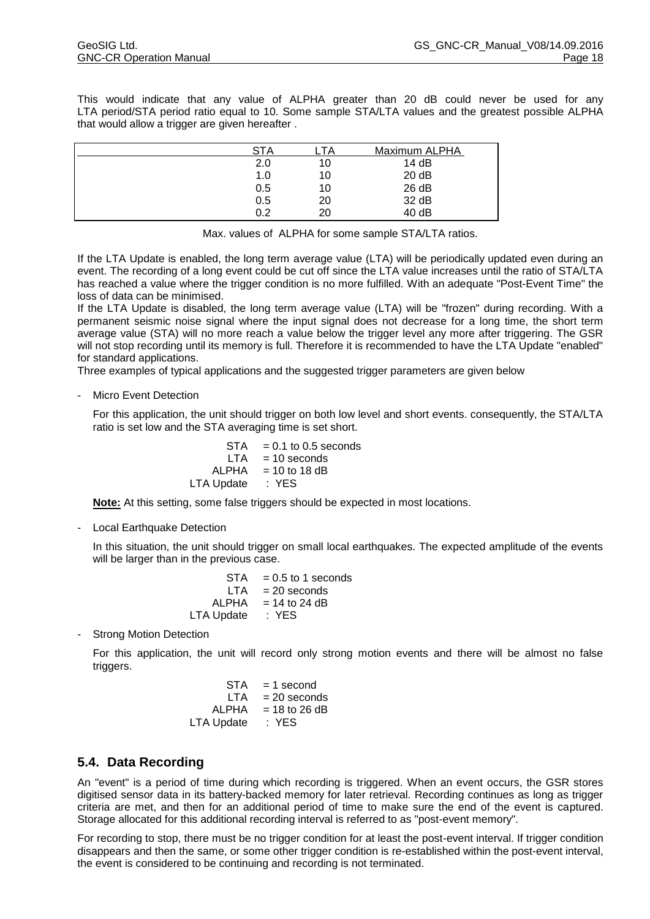This would indicate that any value of ALPHA greater than 20 dB could never be used for any LTA period/STA period ratio equal to 10. Some sample STA/LTA values and the greatest possible ALPHA that would allow a trigger are given hereafter .

| <b>STA</b> | ТA | Maximum ALPHA |
|------------|----|---------------|
| 2.0        | 10 | 14 dB         |
| 1.0        | 10 | 20 dB         |
| 0.5        | 10 | 26 dB         |
| 0.5        | 20 | 32 dB         |
| 0.2        | 20 | 40 dB         |
|            |    |               |

Max. values of ALPHA for some sample STA/LTA ratios.

If the LTA Update is enabled, the long term average value (LTA) will be periodically updated even during an event. The recording of a long event could be cut off since the LTA value increases until the ratio of STA/LTA has reached a value where the trigger condition is no more fulfilled. With an adequate "Post-Event Time" the loss of data can be minimised.

If the LTA Update is disabled, the long term average value (LTA) will be "frozen" during recording. With a permanent seismic noise signal where the input signal does not decrease for a long time, the short term average value (STA) will no more reach a value below the trigger level any more after triggering. The GSR will not stop recording until its memory is full. Therefore it is recommended to have the LTA Update "enabled" for standard applications.

Three examples of typical applications and the suggested trigger parameters are given below

Micro Event Detection

For this application, the unit should trigger on both low level and short events. consequently, the STA/LTA ratio is set low and the STA averaging time is set short.

| <b>STA</b> | $= 0.1$ to 0.5 seconds |
|------------|------------------------|
| LTA        | $= 10$ seconds         |
| ALPHA      | $= 10$ to 18 dB        |
| LTA Update | : YES                  |

**Note:** At this setting, some false triggers should be expected in most locations.

Local Earthquake Detection

In this situation, the unit should trigger on small local earthquakes. The expected amplitude of the events will be larger than in the previous case.

| $= 0.5$ to 1 seconds |
|----------------------|
| $= 20$ seconds       |
| $= 14$ to 24 dB      |
| : YES                |
|                      |

**Strong Motion Detection** 

For this application, the unit will record only strong motion events and there will be almost no false triggers.

| $= 1$ second    |
|-----------------|
| $= 20$ seconds  |
| $= 18$ to 26 dB |
| : YES           |
|                 |

## **5.4. Data Recording**

An "event" is a period of time during which recording is triggered. When an event occurs, the GSR stores digitised sensor data in its battery-backed memory for later retrieval. Recording continues as long as trigger criteria are met, and then for an additional period of time to make sure the end of the event is captured. Storage allocated for this additional recording interval is referred to as "post-event memory".

For recording to stop, there must be no trigger condition for at least the post-event interval. If trigger condition disappears and then the same, or some other trigger condition is re-established within the post-event interval, the event is considered to be continuing and recording is not terminated.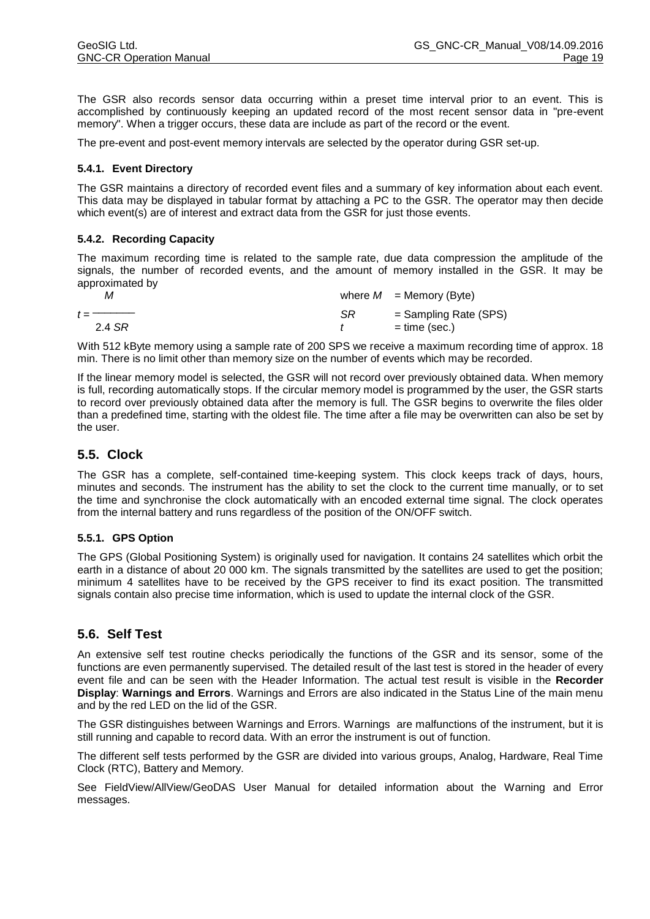The GSR also records sensor data occurring within a preset time interval prior to an event. This is accomplished by continuously keeping an updated record of the most recent sensor data in "pre-event memory". When a trigger occurs, these data are include as part of the record or the event.

The pre-event and post-event memory intervals are selected by the operator during GSR set-up.

#### **5.4.1. Event Directory**

The GSR maintains a directory of recorded event files and a summary of key information about each event. This data may be displayed in tabular format by attaching a PC to the GSR. The operator may then decide which event(s) are of interest and extract data from the GSR for just those events.

#### **5.4.2. Recording Capacity**

The maximum recording time is related to the sample rate, due data compression the amplitude of the signals, the number of recorded events, and the amount of memory installed in the GSR. It may be approximated by

| м                              |    | where $M =$ Memory (Byte) |
|--------------------------------|----|---------------------------|
| $t =$ $\overline{\phantom{a}}$ | SR | $=$ Sampling Rate (SPS)   |
| 2.4 SR                         |    | $=$ time (sec.)           |

With 512 kByte memory using a sample rate of 200 SPS we receive a maximum recording time of approx. 18 min. There is no limit other than memory size on the number of events which may be recorded.

If the linear memory model is selected, the GSR will not record over previously obtained data. When memory is full, recording automatically stops. If the circular memory model is programmed by the user, the GSR starts to record over previously obtained data after the memory is full. The GSR begins to overwrite the files older than a predefined time, starting with the oldest file. The time after a file may be overwritten can also be set by the user.

# **5.5. Clock**

The GSR has a complete, self-contained time-keeping system. This clock keeps track of days, hours, minutes and seconds. The instrument has the ability to set the clock to the current time manually, or to set the time and synchronise the clock automatically with an encoded external time signal. The clock operates from the internal battery and runs regardless of the position of the ON/OFF switch.

#### **5.5.1. GPS Option**

The GPS (Global Positioning System) is originally used for navigation. It contains 24 satellites which orbit the earth in a distance of about 20 000 km. The signals transmitted by the satellites are used to get the position; minimum 4 satellites have to be received by the GPS receiver to find its exact position. The transmitted signals contain also precise time information, which is used to update the internal clock of the GSR.

## **5.6. Self Test**

An extensive self test routine checks periodically the functions of the GSR and its sensor, some of the functions are even permanently supervised. The detailed result of the last test is stored in the header of every event file and can be seen with the Header Information. The actual test result is visible in the **Recorder Display**: **Warnings and Errors**. Warnings and Errors are also indicated in the Status Line of the main menu and by the red LED on the lid of the GSR.

The GSR distinguishes between Warnings and Errors. Warnings are malfunctions of the instrument, but it is still running and capable to record data. With an error the instrument is out of function.

The different self tests performed by the GSR are divided into various groups, Analog, Hardware, Real Time Clock (RTC), Battery and Memory.

See FieldView/AllView/GeoDAS User Manual for detailed information about the Warning and Error messages.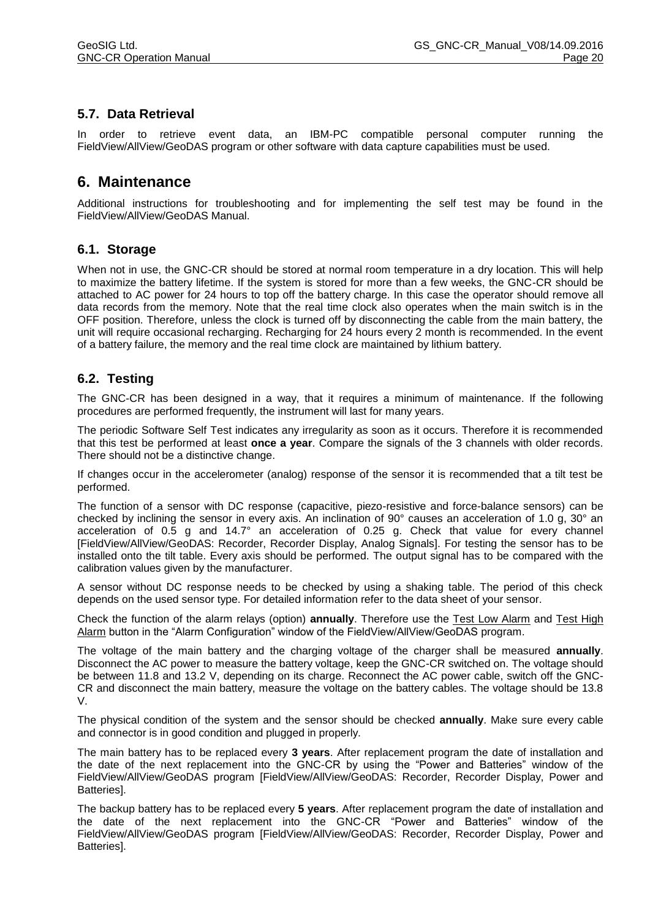# **5.7. Data Retrieval**

In order to retrieve event data, an IBM-PC compatible personal computer running the FieldView/AllView/GeoDAS program or other software with data capture capabilities must be used.

# **6. Maintenance**

Additional instructions for troubleshooting and for implementing the self test may be found in the FieldView/AllView/GeoDAS Manual.

### **6.1. Storage**

When not in use, the GNC-CR should be stored at normal room temperature in a dry location. This will help to maximize the battery lifetime. If the system is stored for more than a few weeks, the GNC-CR should be attached to AC power for 24 hours to top off the battery charge. In this case the operator should remove all data records from the memory. Note that the real time clock also operates when the main switch is in the OFF position. Therefore, unless the clock is turned off by disconnecting the cable from the main battery, the unit will require occasional recharging. Recharging for 24 hours every 2 month is recommended. In the event of a battery failure, the memory and the real time clock are maintained by lithium battery.

### **6.2. Testing**

The GNC-CR has been designed in a way, that it requires a minimum of maintenance. If the following procedures are performed frequently, the instrument will last for many years.

The periodic Software Self Test indicates any irregularity as soon as it occurs. Therefore it is recommended that this test be performed at least **once a year**. Compare the signals of the 3 channels with older records. There should not be a distinctive change.

If changes occur in the accelerometer (analog) response of the sensor it is recommended that a tilt test be performed.

The function of a sensor with DC response (capacitive, piezo-resistive and force-balance sensors) can be checked by inclining the sensor in every axis. An inclination of 90° causes an acceleration of 1.0 g, 30° an acceleration of 0.5 g and 14.7° an acceleration of 0.25 g. Check that value for every channel [FieldView/AllView/GeoDAS: Recorder, Recorder Display, Analog Signals]. For testing the sensor has to be installed onto the tilt table. Every axis should be performed. The output signal has to be compared with the calibration values given by the manufacturer.

A sensor without DC response needs to be checked by using a shaking table. The period of this check depends on the used sensor type. For detailed information refer to the data sheet of your sensor.

Check the function of the alarm relays (option) **annually**. Therefore use the Test Low Alarm and Test High Alarm button in the "Alarm Configuration" window of the FieldView/AllView/GeoDAS program.

The voltage of the main battery and the charging voltage of the charger shall be measured **annually**. Disconnect the AC power to measure the battery voltage, keep the GNC-CR switched on. The voltage should be between 11.8 and 13.2 V, depending on its charge. Reconnect the AC power cable, switch off the GNC-CR and disconnect the main battery, measure the voltage on the battery cables. The voltage should be 13.8 V.

The physical condition of the system and the sensor should be checked **annually**. Make sure every cable and connector is in good condition and plugged in properly.

The main battery has to be replaced every **3 years**. After replacement program the date of installation and the date of the next replacement into the GNC-CR by using the "Power and Batteries" window of the FieldView/AllView/GeoDAS program [FieldView/AllView/GeoDAS: Recorder, Recorder Display, Power and Batteries].

The backup battery has to be replaced every **5 years**. After replacement program the date of installation and the date of the next replacement into the GNC-CR "Power and Batteries" window of the FieldView/AllView/GeoDAS program [FieldView/AllView/GeoDAS: Recorder, Recorder Display, Power and Batteries].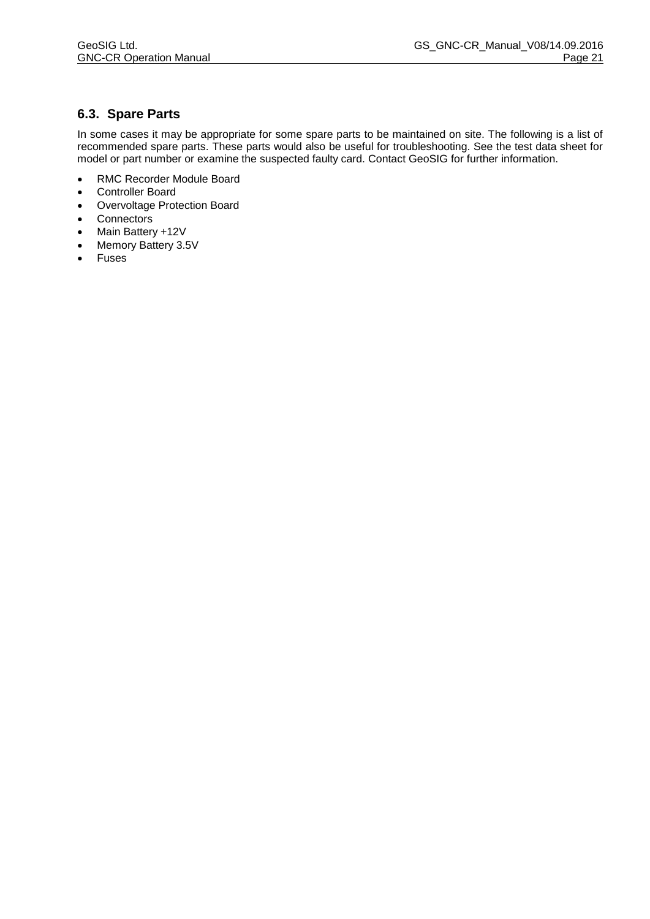# **6.3. Spare Parts**

In some cases it may be appropriate for some spare parts to be maintained on site. The following is a list of recommended spare parts. These parts would also be useful for troubleshooting. See the test data sheet for model or part number or examine the suspected faulty card. Contact GeoSIG for further information.

- RMC Recorder Module Board
- Controller Board
- Overvoltage Protection Board
- Connectors
- Main Battery +12V
- Memory Battery 3.5V
- Fuses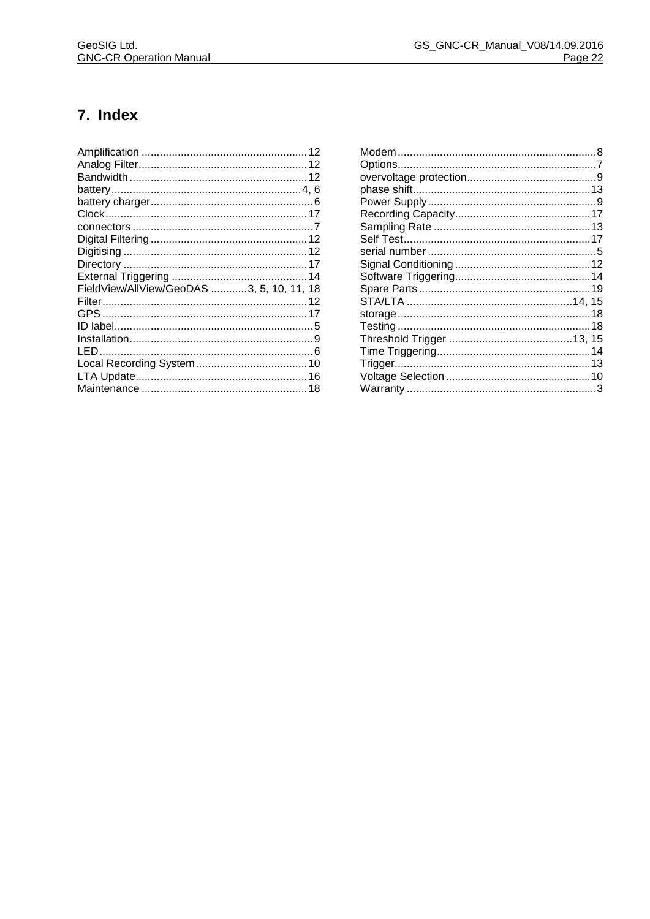# 7. Index

| FieldView/AllView/GeoDAS 3, 5, 10, 11, 18 |  |
|-------------------------------------------|--|
|                                           |  |
|                                           |  |
|                                           |  |
|                                           |  |
|                                           |  |
|                                           |  |
|                                           |  |
|                                           |  |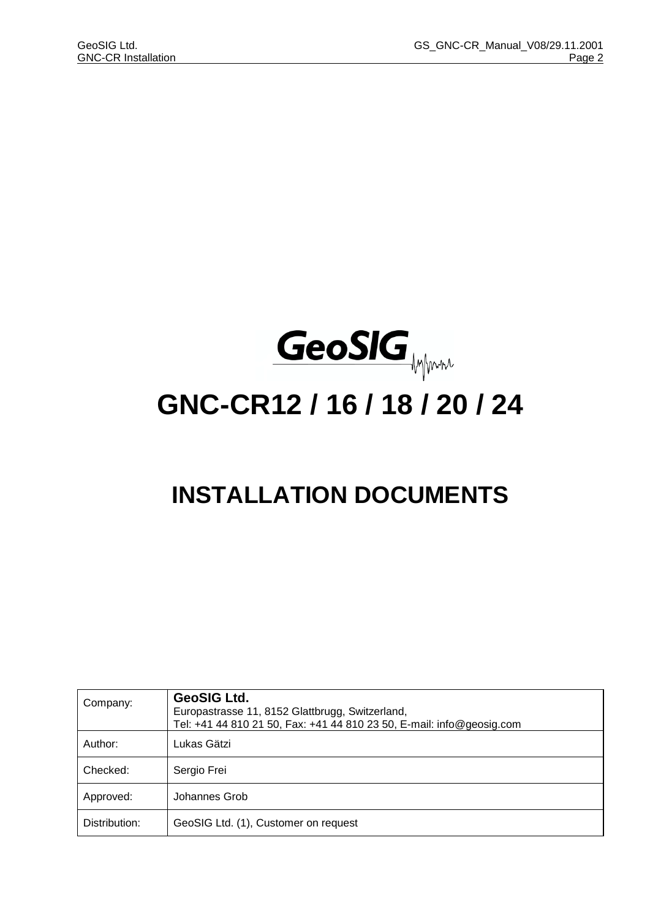

# **GNC-CR12 / 16 / 18 / 20 / 24**

# **INSTALLATION DOCUMENTS**

| Company:      | <b>GeoSIG Ltd.</b><br>Europastrasse 11, 8152 Glattbrugg, Switzerland,<br>Tel: +41 44 810 21 50, Fax: +41 44 810 23 50, E-mail: info@geosig.com |
|---------------|------------------------------------------------------------------------------------------------------------------------------------------------|
| Author:       | Lukas Gätzi                                                                                                                                    |
| Checked:      | Sergio Frei                                                                                                                                    |
| Approved:     | Johannes Grob                                                                                                                                  |
| Distribution: | GeoSIG Ltd. (1), Customer on request                                                                                                           |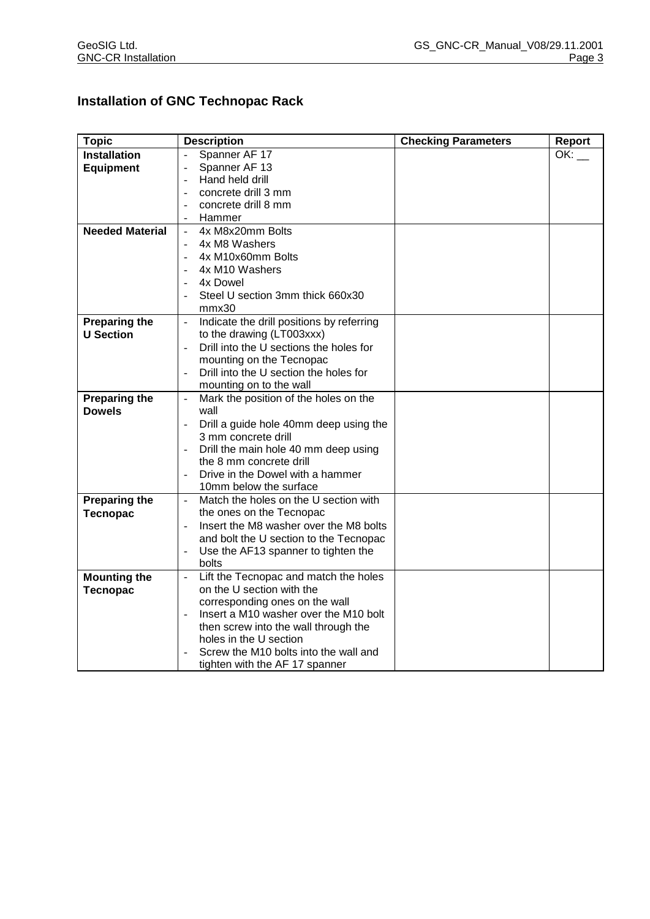# **Installation of GNC Technopac Rack**

| <b>Topic</b>           | <b>Description</b>                                                 | <b>Checking Parameters</b> | <b>Report</b> |
|------------------------|--------------------------------------------------------------------|----------------------------|---------------|
| <b>Installation</b>    | Spanner AF 17                                                      |                            | OK:           |
| <b>Equipment</b>       | Spanner AF 13                                                      |                            |               |
|                        | Hand held drill                                                    |                            |               |
|                        | concrete drill 3 mm<br>$\blacksquare$                              |                            |               |
|                        | concrete drill 8 mm<br>$\overline{a}$                              |                            |               |
|                        | Hammer<br>$\overline{a}$                                           |                            |               |
| <b>Needed Material</b> | 4x M8x20mm Bolts                                                   |                            |               |
|                        | 4x M8 Washers                                                      |                            |               |
|                        | 4x M10x60mm Bolts<br>$\blacksquare$                                |                            |               |
|                        | 4x M10 Washers                                                     |                            |               |
|                        | 4x Dowel                                                           |                            |               |
|                        | Steel U section 3mm thick 660x30                                   |                            |               |
|                        | mmx30                                                              |                            |               |
| <b>Preparing the</b>   | Indicate the drill positions by referring<br>$\frac{1}{2}$         |                            |               |
| <b>U</b> Section       | to the drawing (LT003xxx)                                          |                            |               |
|                        | Drill into the U sections the holes for                            |                            |               |
|                        | mounting on the Tecnopac                                           |                            |               |
|                        | Drill into the U section the holes for                             |                            |               |
|                        | mounting on to the wall                                            |                            |               |
| <b>Preparing the</b>   | Mark the position of the holes on the<br>$\qquad \qquad -$         |                            |               |
| <b>Dowels</b>          | wall                                                               |                            |               |
|                        | Drill a guide hole 40mm deep using the                             |                            |               |
|                        | 3 mm concrete drill                                                |                            |               |
|                        | Drill the main hole 40 mm deep using<br>÷,                         |                            |               |
|                        | the 8 mm concrete drill                                            |                            |               |
|                        | Drive in the Dowel with a hammer                                   |                            |               |
|                        | 10mm below the surface                                             |                            |               |
| <b>Preparing the</b>   | Match the holes on the U section with                              |                            |               |
| <b>Tecnopac</b>        | the ones on the Tecnopac<br>Insert the M8 washer over the M8 bolts |                            |               |
|                        | and bolt the U section to the Tecnopac                             |                            |               |
|                        | Use the AF13 spanner to tighten the                                |                            |               |
|                        | bolts                                                              |                            |               |
| <b>Mounting the</b>    | Lift the Tecnopac and match the holes                              |                            |               |
| <b>Tecnopac</b>        | on the U section with the                                          |                            |               |
|                        | corresponding ones on the wall                                     |                            |               |
|                        | Insert a M10 washer over the M10 bolt<br>$\overline{\phantom{0}}$  |                            |               |
|                        | then screw into the wall through the                               |                            |               |
|                        | holes in the U section                                             |                            |               |
|                        | Screw the M10 bolts into the wall and                              |                            |               |
|                        | tighten with the AF 17 spanner                                     |                            |               |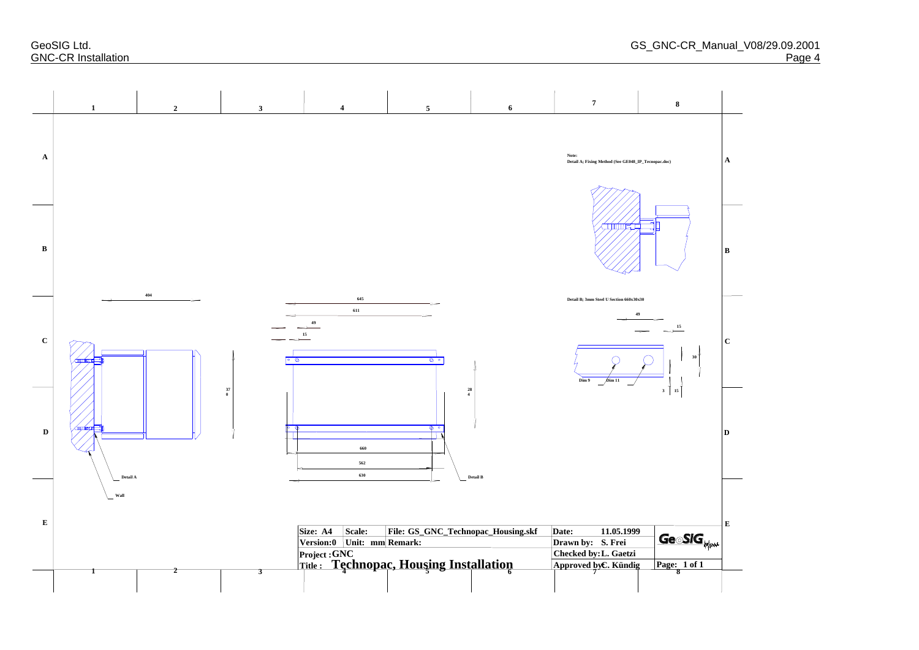GeoSIG Ltd. GS\_GNC **GNC-CR Installation** 

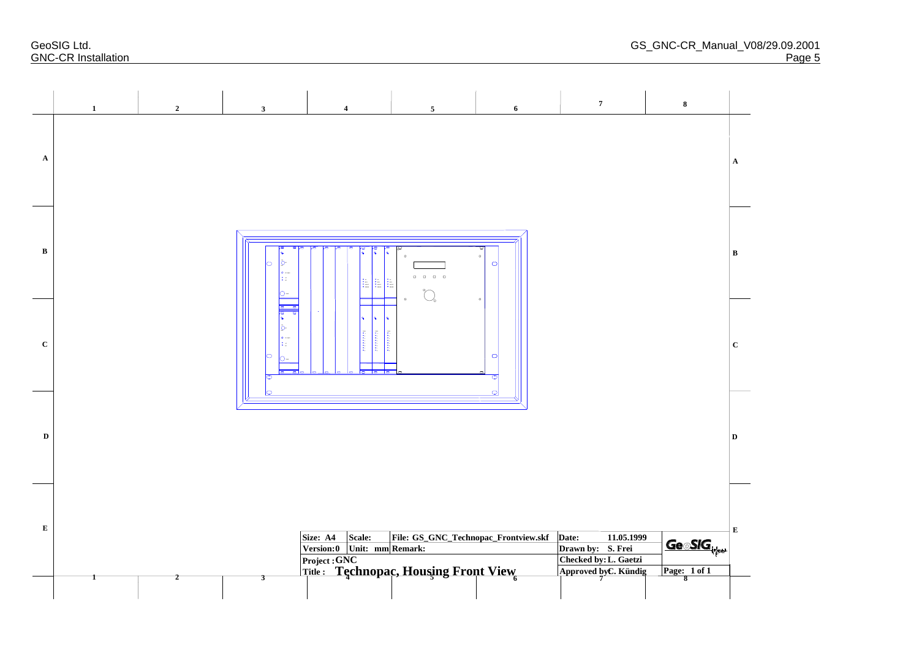